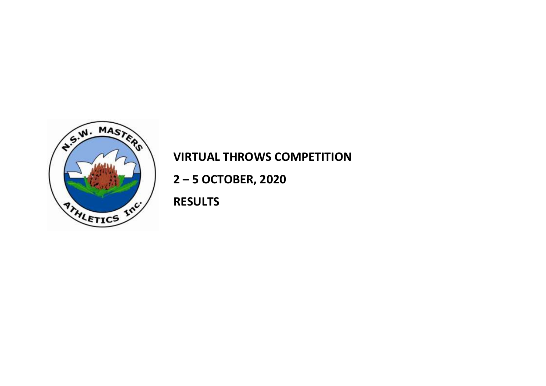

## **VIRTUAL THROWS COMPETITION**

 **2 – 5 OCTOBER, 2020**

 **RESULTS**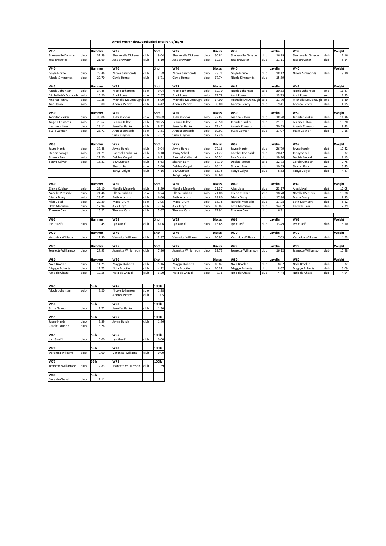|                      |      |                | Virtual Winter Throws Individual Results 3-5/10/20 |      |              |                       |      |                |                       |      |               |                      |      |        |
|----------------------|------|----------------|----------------------------------------------------|------|--------------|-----------------------|------|----------------|-----------------------|------|---------------|----------------------|------|--------|
|                      |      |                |                                                    |      |              |                       |      |                |                       |      |               |                      |      |        |
| <b>W35</b>           |      | Hammer         | <b>W35</b>                                         |      | Shot         | W35                   |      | <b>Discus</b>  | W35                   |      | Javelin       | W35                  |      | Weight |
| Shenevelle Dickson   | club | 31.59          | Shenevelle Dickson                                 | club | 9.04         | Shenevelle Dickson    | club | 30.81          | Shenevelle Dickson    | club | 16.99         | Shenevelle Dickson   | club | 11.16  |
| Jess Brewster        | club | 21.69          | Jess Brewster                                      | club | 8.10         | Jess Brewster         | club | 12.36          | Jess Brewster         | club | 11.11         | Jess Brewster        | club | 8.14   |
|                      |      |                |                                                    |      |              |                       |      |                |                       |      |               |                      |      |        |
| W40                  |      | Hammer         | <b>W40</b>                                         |      | Shot         | W40                   |      | <b>Discus</b>  | W40                   |      | Javelin       | W40                  |      | Weight |
| Gayle Horne          | club | 25.46          | <b>Nicole Simmonds</b>                             | club | 7.58         | Nicole Simmonds       | club | 23.74          | Gayle Horne           | club | 18.1          | Nicole Simmonds      | club | 8.20   |
| Nicole Simmonds      | club | 22.70          | Gayle Horne                                        | club | 6.71         | Gayle Horne           | club | 17.74          | Nicole Simmonds       | club | 15.89         |                      |      |        |
|                      |      |                |                                                    |      |              |                       |      |                |                       |      |               |                      |      |        |
| <b>W45</b>           |      | Hammer         | <b>W45</b>                                         |      | Shot         | <b>W45</b>            |      | <b>Discus</b>  | <b>W45</b>            |      | lavelin       | <b>W45</b>           |      | Weight |
| Nicole Johansen      | solo | 34.45          | Nicole Johansen                                    | solo | 9.04         | Nicole Johansen       | solo | 32.70          | Nicole Johansen       | solo | 30.33         | Nicole Johansen      | solo | 11.27  |
| Michelle McDonaugh   | solo | 16.20          | Anni Rowe                                          | solo | 7.57         | Anni Rowe             | solo | 27.78          | Anni Rowe             | solo | 13.73         | Anni Rowe            | solo | 11.25  |
| Andrea Penny         | club | 10.38          | Michelle McDonaugh                                 | solo | 5.90         | Michelle McDonaugh    | solo | 14.00          | Michelle McDonaugl    | solo | 11.70         | Michelle McDonaugh   | solo | 6.30   |
| Anni Rowe            | solo | 0.00           | Andrea Penny                                       | club | 4.42         | Andrea Penny          | club | 0.00           | Andrea Penny          | club | 9.41          | Andrea Penny         | club | 4.95   |
|                      |      |                |                                                    |      |              |                       |      |                |                       |      |               |                      |      |        |
| <b>W50</b>           |      | Hammer         | <b>W50</b>                                         |      | Shot         | <b>W50</b>            |      | <b>Discus</b>  | <b>W50</b>            |      | Javelin       | <b>W50</b>           |      | Weight |
| Jennifer Parker      | club | 30.06          | <b>Judy Pfanner</b>                                | solo | 10.68        | Judy Pfanner          | solo | 32.83          | Leanne Hilton         | club | 28.70         | Jennifer Parker      | club | 11.36  |
| Angela Edwards       | solo | 29.62          | Leanne Hilton                                      | club | 10.25        | Leanne Hilton         | club | 28.50          | Jennifer Parker       | club | 21.51         | Leanne Hilton        | club | 10.20  |
| Leanne Hilton        | club | 28.11          | Jennifer Parker                                    | club | 9.32         | Jennifer Parker       | club | 27.42          | Angela Edwards        | solo | 20.53         | Angela Edwards       | solo | 9.43   |
| Suzie Gaynor         | club | 23.71          | Angela Edwards                                     | solo | 7.81         | Angela Edwards        | solo | 19.91          | Suzie Gaynor          | club | 17.07         | Suzie Gaynor         | club | 9.16   |
|                      |      |                | Suzie Gaynor                                       | club | 7.37         | Suzie Gaynor          | club | 17.28          |                       |      |               |                      |      |        |
|                      |      |                |                                                    |      |              |                       |      |                |                       |      |               |                      |      |        |
| <b>W55</b>           |      | Hammer         | <b>W55</b>                                         |      | Shot         | <b>W55</b>            |      | <b>Discus</b>  | <b>W55</b>            |      | Javelin       | <b>W55</b>           |      | Weight |
| Jayne Hardy          | club | 37.48          | Jayne Hardy                                        | club | 9.04         | Jayne Hardy           | club | 27.16          | Jayne Hardy           | club | 26.79         | Jayne Hardy          | club | 12.42  |
| Debbie Voogd         | solo | 24.71          | Baerbel Koribalski                                 | club | 8.10         | Jenny Schell          | club | 21.27          | Baerbel Koribalski    | club | 20.47         | Jenny Schell         | club | 9.32   |
| Sharon Barr          | solo | 22.20          | Debbie Voogd                                       | solo | 6.21         | Baerbel Koribalski    | club | 20.51          | <b>Bev Durston</b>    | club | 19.20         | Debbie Voogd         | solo | 8.15   |
| Tanya Colyer         | club | 18.81          | <b>Bev Durston</b>                                 | club | 5.63         | Sharon Barr           | solo | 17.70          | Debbie Voogd          | solo | 12.73         | Carole Condon        | club | 7.76   |
|                      |      |                | Sharon Barr                                        | solo | 5.60         | Debbie Voogd          | solo | 16.12          | Sharon Barr           | solo | 10.55         | Sharon Barr          | solo | 6.45   |
|                      |      |                | Tanya Colyer                                       | club | 4.16         | <b>Bev Durston</b>    | club | 15.75          | Tanya Colyer          | club | 6.82          | Tanya Colyer         | club | 4.47   |
|                      |      |                |                                                    |      |              | Tanya Colyer          | club | 10.60          |                       |      |               |                      |      |        |
|                      |      |                |                                                    |      |              |                       |      |                |                       |      |               |                      |      |        |
| <b>W60</b>           |      | Hammer         | <b>W60</b>                                         |      | Shot         | <b>W60</b>            |      | <b>Discus</b>  | <b>W60</b>            |      | Javelin       | <b>W60</b>           |      | Weight |
| Ellena Cubban        | solo | 26.10          | Narelle Messerle                                   | club | 8.59         | Narelle Messerle      | club | 21.37          | Alex Lloyd            | club | 23.17         | Alex Lloyd           | club | 12.05  |
| Narelle Messerle     | club | 24.46          | Ellena Cubban                                      | solo | 8.24         | Ellena Cubban         | solo | 21.08          | Ellena Cubban         | solo | 18.7          | Narelle Messerle     | club | 10.78  |
| Maria Drury          | solo | 23.62          | <b>Beth Morrison</b>                               | club | 6.60         | <b>Beth Morrison</b>  | club | 18.80          | Maria Drury           | solo | 17.84         | Maria Drury          | solo | 9.85   |
| Alex Lloyd           | club | 22.39          | Maria Drury                                        | solo | 7.95         | Maria Drury           | solo | 18.78          | Narelle Messerle      | club | 17.28         | <b>Beth Morrison</b> | club | 8.62   |
| <b>Beth Morrison</b> | club | 17.94<br>16.22 | Alex Lloyd                                         | club | 7.36<br>5.67 | Alex Llovd            | club | 18.07<br>17.91 | <b>Beth Morrison</b>  | club | 14.02<br>6.31 | Therese Carr         | club | 7.39   |
| <b>Therese Carr</b>  | club |                | Therese Carr                                       | club |              | <b>Therese Carr</b>   | club |                | <b>Therese Carr</b>   | club |               |                      |      |        |
| <b>W65</b>           |      | Hammer         | <b>W65</b>                                         |      | Shot         | <b>W65</b>            |      | <b>Discus</b>  | <b>W65</b>            |      | Javelin       | <b>W65</b>           |      | Weight |
| Lyn Guelfi           | club | 19.45          | Lyn Guelfi                                         | club | 6.06         | Lyn Guelfi            | club | 15.65          | Lyn Guelfi            | club | 13.49         | Lyn Guelfi           | club | 6.10   |
|                      |      |                |                                                    |      |              |                       |      |                |                       |      |               |                      |      |        |
| <b>W70</b>           |      | Hammer         | <b>W70</b>                                         |      | Shot         | W70                   |      | <b>Discus</b>  | W70                   |      | Javelin       | <b>W70</b>           |      | Weight |
| Veronica Williams    | club | 12.30          | Veronica Williams                                  | club | 3.87         | Veronica Williams     | club | 10.92          | Veronica Williams     | club | 7.03          | Veronica Williams    | club | 4.63   |
|                      |      |                |                                                    |      |              |                       |      |                |                       |      |               |                      |      |        |
| <b>W75</b>           |      | Hammer         | <b>W75</b>                                         |      | Shot         | <b>W75</b>            |      | <b>Discus</b>  | <b>W75</b>            |      | Javelin       | <b>W75</b>           |      | Weight |
| Jeanette Williamson  | club | 27.93          | Jeanette Williamson                                | club | 7.90         | Jeanette Williamson   | club | 19.73          | Jeanette Williamson   | club | 16.12         | Jeanette Williamson  | club | 10.28  |
|                      |      |                |                                                    |      |              |                       |      |                |                       |      |               |                      |      |        |
| <b>W80</b>           |      | Hammer         | <b>W80</b>                                         |      | Shot         | <b>W80</b>            |      | <b>Discus</b>  | <b>W80</b>            |      | Javelin       | <b>W80</b>           |      | Weight |
| Nola Brockie         | club | 14.25          | <b>Maggie Roberts</b>                              | club | 5.16         | <b>Maggie Roberts</b> | club | 10.87          | Nola Brockie          | club | 8.87          | Nola Brockie         | club | 5.32   |
| Maggie Roberts       | club | 12.75          | Nola Brockie                                       | club | 4.12         | Nola Brockie          | club | 10.38          | <b>Maggie Roberts</b> | club | 8.67          | Maggie Roberts       | club | 5.09   |
| Nola de Chazal       | club | 10.55          | Nola de Chazal                                     | club | 3.20         | Nola de Chazal        | club | 7.76           | Nola de Chazal        | club | 4.44          | Nola de Chazal       | club | 4.94   |

| <b>W45</b>          |      | 56lb        | <b>W45</b>          |      | 100lb |
|---------------------|------|-------------|---------------------|------|-------|
| Nicole Johansen     | solo | 3.20        | Nicole Johansen     | solo | 1.98  |
|                     |      |             | Andrea Penny        | club | 1.05  |
|                     |      |             |                     |      |       |
| <b>W50</b>          |      | 56lb        | <b>W50</b>          |      | 100lb |
| Suzie Gaynor        | club | 2.72        | Jennifer Parker     | club | 1.30  |
| <b>W55</b>          |      | 56lb        | <b>W55</b>          |      | 100lb |
| Jayne Hardy         | club | 3.39        | Jayne Hardy         | club | 1.86  |
| Carole Condon       | club | 3.26        |                     |      |       |
|                     |      |             |                     |      |       |
| <b>W65</b>          |      | <b>56lb</b> | <b>W65</b>          |      | 100lb |
| Lyn Guelfi          | club | 0.00        | Lyn Guelfi          | club | 0.00  |
|                     |      |             |                     |      |       |
| W70                 |      | <b>56lb</b> | W70                 |      | 100lb |
| Veronica Williams   | club | 0.00        | Veronica Williams   | club | 0.00  |
|                     |      |             |                     |      |       |
| <b>W75</b>          |      | <b>56lb</b> | <b>W75</b>          |      | 100lb |
| Jeanette Williamson | club | 2.83        | Jeanette Williamson | club | 1.39  |
|                     |      |             |                     |      |       |
| <b>W80</b>          |      | <b>56lb</b> |                     |      |       |
| Nola de Chazal      | club | 1.11        |                     |      |       |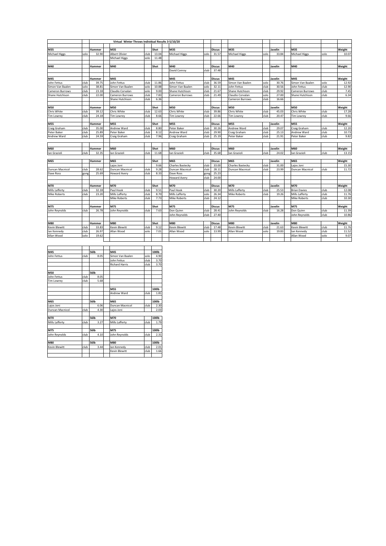| M35<br>Shot<br>M35<br><b>Discus</b><br>M35<br>Javelin<br>M35<br>Weight<br>Hammer<br>31.57<br>32.90<br>Albert Olivier<br>club<br>13.04<br><b>Michael Higgs</b><br><b>Michael Higgs</b><br>33.84<br><b>Michael Higgs</b><br>solo<br>10.07<br>solo<br>solo<br>solo<br><b>Michael Higgs</b><br>11.48<br>solo<br>M40<br><b>Discus</b><br>M40<br>M40<br>Hammer<br>M40<br>Shot<br>Javelin<br>Weight<br>David Conroy<br>club<br>37.48<br>M45<br>M45<br><b>Discus</b><br>M45<br>M45<br>Weight<br>Hammer<br>Javelin<br>club<br>club<br>11.86<br>club<br>36.59<br>12.92<br>39.75<br>John Fettus<br>John Fettus<br>Simon Van Baalen<br>solo<br>30.76<br>Simon Van Baalen<br>solo<br>club<br>club<br>solo<br>38.81<br>solo<br>10.88<br>solo<br>32.11<br>30.56<br>12.90<br>Simon Van Baalen<br>Simon Van Baalen<br>Simon Van Baalen<br>Iohn Fettus<br>John Fettus<br>club<br>club<br>club<br>solo<br>club<br>21.67<br>7.45<br>23.18<br>Claudio Corvalan<br>9.00<br>Shane Hutchison<br>Shane Hutchison<br>29.92<br>Cameron Burrows<br>club<br>club<br>27.00<br>club<br>6.34<br>22.00<br>7.83<br>club<br>21.49<br>solo<br>Shane Hutchison<br><b>Cameron Burrows</b><br>Cameron Burrows<br>Claudio Corvalan<br>Shane Hutchison<br>club<br>club<br>6.36<br>16.66<br>Shane Hutchison<br>Cameron Burrows<br>M50<br>M50<br><b>Discus</b><br>M50<br>M50<br>Weight<br>Shot<br>M50<br>Javelin<br>Hammer<br>club<br>39.12<br>Chris White<br>club<br>12.63<br>Chris White<br>39.86<br>Chris White<br>club<br>Chris White<br>17.28<br>club<br>45.03<br>club<br>22.66<br>club<br>club<br>9.66<br>club<br>24.18<br>club<br>8.66<br>club<br>20.47<br><b>Tim Lowrey</b><br><b>Tim Lowrey</b><br><b>Tim Lowrey</b><br><b>Tim Lowrey</b><br><b>M55</b><br>Shot<br><b>M55</b><br><b>Discus</b><br><b>M55</b><br>Javelin<br><b>M55</b><br>Weight<br>Hammer<br>club<br>club<br>club<br>35.00<br>Andrew Ward<br>8.80<br>Peter Baker<br>club<br>30.26<br>Andrew Ward<br>29.07<br>Craig Graham<br>club<br>12.20<br>Peter Baker<br>25.89<br>club<br>29.90<br>25.13<br>club<br>Peter Baker<br>8.12<br>Andrew Ward<br>club<br>Craig Graham<br>club<br>Andrew Ward<br>club<br>10.73<br>club<br>7.96<br>club<br>25.19<br>club<br>club<br>9.82<br>club<br>24.59<br>Craig Graham<br>Craig Graham<br>Peter Baker<br>21.91<br>Peter Baker<br>M60<br>M60<br>Shot<br>M60<br>M60<br>M60<br>Weight<br><b>Discus</b><br>Javelin<br>Hammer<br>Ian Grazioli<br>club<br>club<br>club<br>35.68<br>club<br>32.35<br>lan Grazioli<br>11.68<br>Ian Grazioli<br>24.02<br>Ian Grazioli<br>club<br>13.15<br>Ian Grazioli<br>M65<br><b>Discus</b><br>M65<br>Hammer<br>M65<br>Shot<br>M65<br>Javelin<br>M65<br>Weight<br>club<br>club<br>33.00<br>15.30<br>9.66<br><b>Charles Bastecky</b><br><b>Charles Bastecky</b><br>31.00<br>Lajos Joni<br>Lajos Joni<br><b>Duncan Macnicol</b><br>club<br>28.11<br>club<br>club<br>28.62<br>Duncan Macnicol<br>club<br>9.28<br>Duncan Macnicol<br>23.99<br>Duncan Macnicol<br>club<br>11.72<br><b>Duncan Macnicol</b><br>25.69<br>club<br>25.23<br><b>Howard Avery</b><br>8.33<br>Dave Ross<br>gong<br>gong<br>club<br>24.00<br><b>Howard Avery</b><br>M70<br>M70<br>M70<br><b>Discus</b><br>M70<br>M70<br>Weight<br>Hammer<br>Shot<br>Javelin<br>Mills Lafferty<br>club<br>32.18<br>Paul Hook<br>club<br>Paul Hook<br>club<br>30.20<br>Mills Lafferty<br>club<br>25.53<br><b>Brian Davies</b><br>12.08<br>9.51<br>club<br>club<br><b>Mike Roberts</b><br>club<br>23.20<br>Mills Lafferty<br>8.70<br>Mills Lafferty<br>solo<br>26.34<br><b>Mike Roberts</b><br>club<br>19.26<br>Mills Lafferty<br>club<br>11.76<br>club<br>club<br>24.12<br>club<br>10.30<br><b>Mike Roberts</b><br>7.73<br><b>Mike Roberts</b><br><b>Mike Roberts</b><br>M75<br>M75<br>Shot<br>M75<br><b>Discus</b><br>M75<br>M75<br>Weight<br>Hammer<br>Javelin<br>John Reynolds<br>club<br>club<br>club<br>26.78<br>John Reynolds<br>7.63<br>28.41<br>club<br>Don Quinn<br>club<br>11.39<br>Don Quinn<br>Iohn Reynolds<br>16.28<br>club<br>27.40<br>club<br>10.86<br>John Reynolds<br>John Reynolds<br>M80<br>M80<br>M80<br><b>Discus</b><br>M80<br>M80<br>Weight<br>Shot<br>Javelin<br>Hammer<br><b>Kevin Blewitt</b><br>club<br>33.83<br><b>Kevin Blewitt</b><br>club<br>9.12<br>club<br>17.48<br><b>Kevin Blewitt</b><br><b>Kevin Blewitt</b><br>club<br>11.76<br>Kevin Blewitt<br>club<br>21.63<br>lan Kennedy<br>club<br>11.52<br>club<br>26.97<br>Allan Wood<br>solo<br>7.01<br>Allan Wood<br>solo<br>13.99<br>Allan Wood<br>solo<br>19.83<br>lan Kennedy<br>Allan Wood<br>19.62<br>9.07<br>solo<br>Allan Wood<br>solo |                      |  | Virtual Winter Throws Individual Results 3-5/10/20 |  |  |  |  |  |  |  |
|----------------------------------------------------------------------------------------------------------------------------------------------------------------------------------------------------------------------------------------------------------------------------------------------------------------------------------------------------------------------------------------------------------------------------------------------------------------------------------------------------------------------------------------------------------------------------------------------------------------------------------------------------------------------------------------------------------------------------------------------------------------------------------------------------------------------------------------------------------------------------------------------------------------------------------------------------------------------------------------------------------------------------------------------------------------------------------------------------------------------------------------------------------------------------------------------------------------------------------------------------------------------------------------------------------------------------------------------------------------------------------------------------------------------------------------------------------------------------------------------------------------------------------------------------------------------------------------------------------------------------------------------------------------------------------------------------------------------------------------------------------------------------------------------------------------------------------------------------------------------------------------------------------------------------------------------------------------------------------------------------------------------------------------------------------------------------------------------------------------------------------------------------------------------------------------------------------------------------------------------------------------------------------------------------------------------------------------------------------------------------------------------------------------------------------------------------------------------------------------------------------------------------------------------------------------------------------------------------------------------------------------------------------------------------------------------------------------------------------------------------------------------------------------------------------------------------------------------------------------------------------------------------------------------------------------------------------------------------------------------------------------------------------------------------------------------------------------------------------------------------------------------------------------------------------------------------------------------------------------------------------------------------------------------------------------------------------------------------------------------------------------------------------------------------------------------------------------------------------------------------------------------------------------------------------------------------------------------------------------------------------------------------------------------------------------------------------------------------------------------------------------------------------------------------------------------------------------------------------------------------------------------------------------------------------------------------------------------------------------------------------------------------------------------------------------------------------------------------------------------------------------------------------------------------------------------------------------------------------------------------------------------------------------------------------------------------------------------------------------------------------------------------------------------------------------------------------------------------------------------------------------------------------------------------------------------|----------------------|--|----------------------------------------------------|--|--|--|--|--|--|--|
|                                                                                                                                                                                                                                                                                                                                                                                                                                                                                                                                                                                                                                                                                                                                                                                                                                                                                                                                                                                                                                                                                                                                                                                                                                                                                                                                                                                                                                                                                                                                                                                                                                                                                                                                                                                                                                                                                                                                                                                                                                                                                                                                                                                                                                                                                                                                                                                                                                                                                                                                                                                                                                                                                                                                                                                                                                                                                                                                                                                                                                                                                                                                                                                                                                                                                                                                                                                                                                                                                                                                                                                                                                                                                                                                                                                                                                                                                                                                                                                                                                                                                                                                                                                                                                                                                                                                                                                                                                                                                                                                                                      |                      |  |                                                    |  |  |  |  |  |  |  |
|                                                                                                                                                                                                                                                                                                                                                                                                                                                                                                                                                                                                                                                                                                                                                                                                                                                                                                                                                                                                                                                                                                                                                                                                                                                                                                                                                                                                                                                                                                                                                                                                                                                                                                                                                                                                                                                                                                                                                                                                                                                                                                                                                                                                                                                                                                                                                                                                                                                                                                                                                                                                                                                                                                                                                                                                                                                                                                                                                                                                                                                                                                                                                                                                                                                                                                                                                                                                                                                                                                                                                                                                                                                                                                                                                                                                                                                                                                                                                                                                                                                                                                                                                                                                                                                                                                                                                                                                                                                                                                                                                                      | M35                  |  |                                                    |  |  |  |  |  |  |  |
|                                                                                                                                                                                                                                                                                                                                                                                                                                                                                                                                                                                                                                                                                                                                                                                                                                                                                                                                                                                                                                                                                                                                                                                                                                                                                                                                                                                                                                                                                                                                                                                                                                                                                                                                                                                                                                                                                                                                                                                                                                                                                                                                                                                                                                                                                                                                                                                                                                                                                                                                                                                                                                                                                                                                                                                                                                                                                                                                                                                                                                                                                                                                                                                                                                                                                                                                                                                                                                                                                                                                                                                                                                                                                                                                                                                                                                                                                                                                                                                                                                                                                                                                                                                                                                                                                                                                                                                                                                                                                                                                                                      | <b>Michael Higgs</b> |  |                                                    |  |  |  |  |  |  |  |
|                                                                                                                                                                                                                                                                                                                                                                                                                                                                                                                                                                                                                                                                                                                                                                                                                                                                                                                                                                                                                                                                                                                                                                                                                                                                                                                                                                                                                                                                                                                                                                                                                                                                                                                                                                                                                                                                                                                                                                                                                                                                                                                                                                                                                                                                                                                                                                                                                                                                                                                                                                                                                                                                                                                                                                                                                                                                                                                                                                                                                                                                                                                                                                                                                                                                                                                                                                                                                                                                                                                                                                                                                                                                                                                                                                                                                                                                                                                                                                                                                                                                                                                                                                                                                                                                                                                                                                                                                                                                                                                                                                      |                      |  |                                                    |  |  |  |  |  |  |  |
|                                                                                                                                                                                                                                                                                                                                                                                                                                                                                                                                                                                                                                                                                                                                                                                                                                                                                                                                                                                                                                                                                                                                                                                                                                                                                                                                                                                                                                                                                                                                                                                                                                                                                                                                                                                                                                                                                                                                                                                                                                                                                                                                                                                                                                                                                                                                                                                                                                                                                                                                                                                                                                                                                                                                                                                                                                                                                                                                                                                                                                                                                                                                                                                                                                                                                                                                                                                                                                                                                                                                                                                                                                                                                                                                                                                                                                                                                                                                                                                                                                                                                                                                                                                                                                                                                                                                                                                                                                                                                                                                                                      |                      |  |                                                    |  |  |  |  |  |  |  |
|                                                                                                                                                                                                                                                                                                                                                                                                                                                                                                                                                                                                                                                                                                                                                                                                                                                                                                                                                                                                                                                                                                                                                                                                                                                                                                                                                                                                                                                                                                                                                                                                                                                                                                                                                                                                                                                                                                                                                                                                                                                                                                                                                                                                                                                                                                                                                                                                                                                                                                                                                                                                                                                                                                                                                                                                                                                                                                                                                                                                                                                                                                                                                                                                                                                                                                                                                                                                                                                                                                                                                                                                                                                                                                                                                                                                                                                                                                                                                                                                                                                                                                                                                                                                                                                                                                                                                                                                                                                                                                                                                                      | M40                  |  |                                                    |  |  |  |  |  |  |  |
|                                                                                                                                                                                                                                                                                                                                                                                                                                                                                                                                                                                                                                                                                                                                                                                                                                                                                                                                                                                                                                                                                                                                                                                                                                                                                                                                                                                                                                                                                                                                                                                                                                                                                                                                                                                                                                                                                                                                                                                                                                                                                                                                                                                                                                                                                                                                                                                                                                                                                                                                                                                                                                                                                                                                                                                                                                                                                                                                                                                                                                                                                                                                                                                                                                                                                                                                                                                                                                                                                                                                                                                                                                                                                                                                                                                                                                                                                                                                                                                                                                                                                                                                                                                                                                                                                                                                                                                                                                                                                                                                                                      |                      |  |                                                    |  |  |  |  |  |  |  |
|                                                                                                                                                                                                                                                                                                                                                                                                                                                                                                                                                                                                                                                                                                                                                                                                                                                                                                                                                                                                                                                                                                                                                                                                                                                                                                                                                                                                                                                                                                                                                                                                                                                                                                                                                                                                                                                                                                                                                                                                                                                                                                                                                                                                                                                                                                                                                                                                                                                                                                                                                                                                                                                                                                                                                                                                                                                                                                                                                                                                                                                                                                                                                                                                                                                                                                                                                                                                                                                                                                                                                                                                                                                                                                                                                                                                                                                                                                                                                                                                                                                                                                                                                                                                                                                                                                                                                                                                                                                                                                                                                                      |                      |  |                                                    |  |  |  |  |  |  |  |
|                                                                                                                                                                                                                                                                                                                                                                                                                                                                                                                                                                                                                                                                                                                                                                                                                                                                                                                                                                                                                                                                                                                                                                                                                                                                                                                                                                                                                                                                                                                                                                                                                                                                                                                                                                                                                                                                                                                                                                                                                                                                                                                                                                                                                                                                                                                                                                                                                                                                                                                                                                                                                                                                                                                                                                                                                                                                                                                                                                                                                                                                                                                                                                                                                                                                                                                                                                                                                                                                                                                                                                                                                                                                                                                                                                                                                                                                                                                                                                                                                                                                                                                                                                                                                                                                                                                                                                                                                                                                                                                                                                      | M45                  |  |                                                    |  |  |  |  |  |  |  |
|                                                                                                                                                                                                                                                                                                                                                                                                                                                                                                                                                                                                                                                                                                                                                                                                                                                                                                                                                                                                                                                                                                                                                                                                                                                                                                                                                                                                                                                                                                                                                                                                                                                                                                                                                                                                                                                                                                                                                                                                                                                                                                                                                                                                                                                                                                                                                                                                                                                                                                                                                                                                                                                                                                                                                                                                                                                                                                                                                                                                                                                                                                                                                                                                                                                                                                                                                                                                                                                                                                                                                                                                                                                                                                                                                                                                                                                                                                                                                                                                                                                                                                                                                                                                                                                                                                                                                                                                                                                                                                                                                                      | John Fettus          |  |                                                    |  |  |  |  |  |  |  |
|                                                                                                                                                                                                                                                                                                                                                                                                                                                                                                                                                                                                                                                                                                                                                                                                                                                                                                                                                                                                                                                                                                                                                                                                                                                                                                                                                                                                                                                                                                                                                                                                                                                                                                                                                                                                                                                                                                                                                                                                                                                                                                                                                                                                                                                                                                                                                                                                                                                                                                                                                                                                                                                                                                                                                                                                                                                                                                                                                                                                                                                                                                                                                                                                                                                                                                                                                                                                                                                                                                                                                                                                                                                                                                                                                                                                                                                                                                                                                                                                                                                                                                                                                                                                                                                                                                                                                                                                                                                                                                                                                                      |                      |  |                                                    |  |  |  |  |  |  |  |
|                                                                                                                                                                                                                                                                                                                                                                                                                                                                                                                                                                                                                                                                                                                                                                                                                                                                                                                                                                                                                                                                                                                                                                                                                                                                                                                                                                                                                                                                                                                                                                                                                                                                                                                                                                                                                                                                                                                                                                                                                                                                                                                                                                                                                                                                                                                                                                                                                                                                                                                                                                                                                                                                                                                                                                                                                                                                                                                                                                                                                                                                                                                                                                                                                                                                                                                                                                                                                                                                                                                                                                                                                                                                                                                                                                                                                                                                                                                                                                                                                                                                                                                                                                                                                                                                                                                                                                                                                                                                                                                                                                      | Cameron Burrows      |  |                                                    |  |  |  |  |  |  |  |
|                                                                                                                                                                                                                                                                                                                                                                                                                                                                                                                                                                                                                                                                                                                                                                                                                                                                                                                                                                                                                                                                                                                                                                                                                                                                                                                                                                                                                                                                                                                                                                                                                                                                                                                                                                                                                                                                                                                                                                                                                                                                                                                                                                                                                                                                                                                                                                                                                                                                                                                                                                                                                                                                                                                                                                                                                                                                                                                                                                                                                                                                                                                                                                                                                                                                                                                                                                                                                                                                                                                                                                                                                                                                                                                                                                                                                                                                                                                                                                                                                                                                                                                                                                                                                                                                                                                                                                                                                                                                                                                                                                      |                      |  |                                                    |  |  |  |  |  |  |  |
|                                                                                                                                                                                                                                                                                                                                                                                                                                                                                                                                                                                                                                                                                                                                                                                                                                                                                                                                                                                                                                                                                                                                                                                                                                                                                                                                                                                                                                                                                                                                                                                                                                                                                                                                                                                                                                                                                                                                                                                                                                                                                                                                                                                                                                                                                                                                                                                                                                                                                                                                                                                                                                                                                                                                                                                                                                                                                                                                                                                                                                                                                                                                                                                                                                                                                                                                                                                                                                                                                                                                                                                                                                                                                                                                                                                                                                                                                                                                                                                                                                                                                                                                                                                                                                                                                                                                                                                                                                                                                                                                                                      |                      |  |                                                    |  |  |  |  |  |  |  |
|                                                                                                                                                                                                                                                                                                                                                                                                                                                                                                                                                                                                                                                                                                                                                                                                                                                                                                                                                                                                                                                                                                                                                                                                                                                                                                                                                                                                                                                                                                                                                                                                                                                                                                                                                                                                                                                                                                                                                                                                                                                                                                                                                                                                                                                                                                                                                                                                                                                                                                                                                                                                                                                                                                                                                                                                                                                                                                                                                                                                                                                                                                                                                                                                                                                                                                                                                                                                                                                                                                                                                                                                                                                                                                                                                                                                                                                                                                                                                                                                                                                                                                                                                                                                                                                                                                                                                                                                                                                                                                                                                                      |                      |  |                                                    |  |  |  |  |  |  |  |
|                                                                                                                                                                                                                                                                                                                                                                                                                                                                                                                                                                                                                                                                                                                                                                                                                                                                                                                                                                                                                                                                                                                                                                                                                                                                                                                                                                                                                                                                                                                                                                                                                                                                                                                                                                                                                                                                                                                                                                                                                                                                                                                                                                                                                                                                                                                                                                                                                                                                                                                                                                                                                                                                                                                                                                                                                                                                                                                                                                                                                                                                                                                                                                                                                                                                                                                                                                                                                                                                                                                                                                                                                                                                                                                                                                                                                                                                                                                                                                                                                                                                                                                                                                                                                                                                                                                                                                                                                                                                                                                                                                      |                      |  |                                                    |  |  |  |  |  |  |  |
|                                                                                                                                                                                                                                                                                                                                                                                                                                                                                                                                                                                                                                                                                                                                                                                                                                                                                                                                                                                                                                                                                                                                                                                                                                                                                                                                                                                                                                                                                                                                                                                                                                                                                                                                                                                                                                                                                                                                                                                                                                                                                                                                                                                                                                                                                                                                                                                                                                                                                                                                                                                                                                                                                                                                                                                                                                                                                                                                                                                                                                                                                                                                                                                                                                                                                                                                                                                                                                                                                                                                                                                                                                                                                                                                                                                                                                                                                                                                                                                                                                                                                                                                                                                                                                                                                                                                                                                                                                                                                                                                                                      | Chris White          |  |                                                    |  |  |  |  |  |  |  |
|                                                                                                                                                                                                                                                                                                                                                                                                                                                                                                                                                                                                                                                                                                                                                                                                                                                                                                                                                                                                                                                                                                                                                                                                                                                                                                                                                                                                                                                                                                                                                                                                                                                                                                                                                                                                                                                                                                                                                                                                                                                                                                                                                                                                                                                                                                                                                                                                                                                                                                                                                                                                                                                                                                                                                                                                                                                                                                                                                                                                                                                                                                                                                                                                                                                                                                                                                                                                                                                                                                                                                                                                                                                                                                                                                                                                                                                                                                                                                                                                                                                                                                                                                                                                                                                                                                                                                                                                                                                                                                                                                                      | Tim Lowrey           |  |                                                    |  |  |  |  |  |  |  |
|                                                                                                                                                                                                                                                                                                                                                                                                                                                                                                                                                                                                                                                                                                                                                                                                                                                                                                                                                                                                                                                                                                                                                                                                                                                                                                                                                                                                                                                                                                                                                                                                                                                                                                                                                                                                                                                                                                                                                                                                                                                                                                                                                                                                                                                                                                                                                                                                                                                                                                                                                                                                                                                                                                                                                                                                                                                                                                                                                                                                                                                                                                                                                                                                                                                                                                                                                                                                                                                                                                                                                                                                                                                                                                                                                                                                                                                                                                                                                                                                                                                                                                                                                                                                                                                                                                                                                                                                                                                                                                                                                                      |                      |  |                                                    |  |  |  |  |  |  |  |
|                                                                                                                                                                                                                                                                                                                                                                                                                                                                                                                                                                                                                                                                                                                                                                                                                                                                                                                                                                                                                                                                                                                                                                                                                                                                                                                                                                                                                                                                                                                                                                                                                                                                                                                                                                                                                                                                                                                                                                                                                                                                                                                                                                                                                                                                                                                                                                                                                                                                                                                                                                                                                                                                                                                                                                                                                                                                                                                                                                                                                                                                                                                                                                                                                                                                                                                                                                                                                                                                                                                                                                                                                                                                                                                                                                                                                                                                                                                                                                                                                                                                                                                                                                                                                                                                                                                                                                                                                                                                                                                                                                      | <b>M55</b>           |  |                                                    |  |  |  |  |  |  |  |
|                                                                                                                                                                                                                                                                                                                                                                                                                                                                                                                                                                                                                                                                                                                                                                                                                                                                                                                                                                                                                                                                                                                                                                                                                                                                                                                                                                                                                                                                                                                                                                                                                                                                                                                                                                                                                                                                                                                                                                                                                                                                                                                                                                                                                                                                                                                                                                                                                                                                                                                                                                                                                                                                                                                                                                                                                                                                                                                                                                                                                                                                                                                                                                                                                                                                                                                                                                                                                                                                                                                                                                                                                                                                                                                                                                                                                                                                                                                                                                                                                                                                                                                                                                                                                                                                                                                                                                                                                                                                                                                                                                      | Craig Graham         |  |                                                    |  |  |  |  |  |  |  |
|                                                                                                                                                                                                                                                                                                                                                                                                                                                                                                                                                                                                                                                                                                                                                                                                                                                                                                                                                                                                                                                                                                                                                                                                                                                                                                                                                                                                                                                                                                                                                                                                                                                                                                                                                                                                                                                                                                                                                                                                                                                                                                                                                                                                                                                                                                                                                                                                                                                                                                                                                                                                                                                                                                                                                                                                                                                                                                                                                                                                                                                                                                                                                                                                                                                                                                                                                                                                                                                                                                                                                                                                                                                                                                                                                                                                                                                                                                                                                                                                                                                                                                                                                                                                                                                                                                                                                                                                                                                                                                                                                                      |                      |  |                                                    |  |  |  |  |  |  |  |
|                                                                                                                                                                                                                                                                                                                                                                                                                                                                                                                                                                                                                                                                                                                                                                                                                                                                                                                                                                                                                                                                                                                                                                                                                                                                                                                                                                                                                                                                                                                                                                                                                                                                                                                                                                                                                                                                                                                                                                                                                                                                                                                                                                                                                                                                                                                                                                                                                                                                                                                                                                                                                                                                                                                                                                                                                                                                                                                                                                                                                                                                                                                                                                                                                                                                                                                                                                                                                                                                                                                                                                                                                                                                                                                                                                                                                                                                                                                                                                                                                                                                                                                                                                                                                                                                                                                                                                                                                                                                                                                                                                      | Andrew Ward          |  |                                                    |  |  |  |  |  |  |  |
|                                                                                                                                                                                                                                                                                                                                                                                                                                                                                                                                                                                                                                                                                                                                                                                                                                                                                                                                                                                                                                                                                                                                                                                                                                                                                                                                                                                                                                                                                                                                                                                                                                                                                                                                                                                                                                                                                                                                                                                                                                                                                                                                                                                                                                                                                                                                                                                                                                                                                                                                                                                                                                                                                                                                                                                                                                                                                                                                                                                                                                                                                                                                                                                                                                                                                                                                                                                                                                                                                                                                                                                                                                                                                                                                                                                                                                                                                                                                                                                                                                                                                                                                                                                                                                                                                                                                                                                                                                                                                                                                                                      |                      |  |                                                    |  |  |  |  |  |  |  |
|                                                                                                                                                                                                                                                                                                                                                                                                                                                                                                                                                                                                                                                                                                                                                                                                                                                                                                                                                                                                                                                                                                                                                                                                                                                                                                                                                                                                                                                                                                                                                                                                                                                                                                                                                                                                                                                                                                                                                                                                                                                                                                                                                                                                                                                                                                                                                                                                                                                                                                                                                                                                                                                                                                                                                                                                                                                                                                                                                                                                                                                                                                                                                                                                                                                                                                                                                                                                                                                                                                                                                                                                                                                                                                                                                                                                                                                                                                                                                                                                                                                                                                                                                                                                                                                                                                                                                                                                                                                                                                                                                                      |                      |  |                                                    |  |  |  |  |  |  |  |
|                                                                                                                                                                                                                                                                                                                                                                                                                                                                                                                                                                                                                                                                                                                                                                                                                                                                                                                                                                                                                                                                                                                                                                                                                                                                                                                                                                                                                                                                                                                                                                                                                                                                                                                                                                                                                                                                                                                                                                                                                                                                                                                                                                                                                                                                                                                                                                                                                                                                                                                                                                                                                                                                                                                                                                                                                                                                                                                                                                                                                                                                                                                                                                                                                                                                                                                                                                                                                                                                                                                                                                                                                                                                                                                                                                                                                                                                                                                                                                                                                                                                                                                                                                                                                                                                                                                                                                                                                                                                                                                                                                      |                      |  |                                                    |  |  |  |  |  |  |  |
|                                                                                                                                                                                                                                                                                                                                                                                                                                                                                                                                                                                                                                                                                                                                                                                                                                                                                                                                                                                                                                                                                                                                                                                                                                                                                                                                                                                                                                                                                                                                                                                                                                                                                                                                                                                                                                                                                                                                                                                                                                                                                                                                                                                                                                                                                                                                                                                                                                                                                                                                                                                                                                                                                                                                                                                                                                                                                                                                                                                                                                                                                                                                                                                                                                                                                                                                                                                                                                                                                                                                                                                                                                                                                                                                                                                                                                                                                                                                                                                                                                                                                                                                                                                                                                                                                                                                                                                                                                                                                                                                                                      |                      |  |                                                    |  |  |  |  |  |  |  |
|                                                                                                                                                                                                                                                                                                                                                                                                                                                                                                                                                                                                                                                                                                                                                                                                                                                                                                                                                                                                                                                                                                                                                                                                                                                                                                                                                                                                                                                                                                                                                                                                                                                                                                                                                                                                                                                                                                                                                                                                                                                                                                                                                                                                                                                                                                                                                                                                                                                                                                                                                                                                                                                                                                                                                                                                                                                                                                                                                                                                                                                                                                                                                                                                                                                                                                                                                                                                                                                                                                                                                                                                                                                                                                                                                                                                                                                                                                                                                                                                                                                                                                                                                                                                                                                                                                                                                                                                                                                                                                                                                                      |                      |  |                                                    |  |  |  |  |  |  |  |
|                                                                                                                                                                                                                                                                                                                                                                                                                                                                                                                                                                                                                                                                                                                                                                                                                                                                                                                                                                                                                                                                                                                                                                                                                                                                                                                                                                                                                                                                                                                                                                                                                                                                                                                                                                                                                                                                                                                                                                                                                                                                                                                                                                                                                                                                                                                                                                                                                                                                                                                                                                                                                                                                                                                                                                                                                                                                                                                                                                                                                                                                                                                                                                                                                                                                                                                                                                                                                                                                                                                                                                                                                                                                                                                                                                                                                                                                                                                                                                                                                                                                                                                                                                                                                                                                                                                                                                                                                                                                                                                                                                      |                      |  |                                                    |  |  |  |  |  |  |  |
|                                                                                                                                                                                                                                                                                                                                                                                                                                                                                                                                                                                                                                                                                                                                                                                                                                                                                                                                                                                                                                                                                                                                                                                                                                                                                                                                                                                                                                                                                                                                                                                                                                                                                                                                                                                                                                                                                                                                                                                                                                                                                                                                                                                                                                                                                                                                                                                                                                                                                                                                                                                                                                                                                                                                                                                                                                                                                                                                                                                                                                                                                                                                                                                                                                                                                                                                                                                                                                                                                                                                                                                                                                                                                                                                                                                                                                                                                                                                                                                                                                                                                                                                                                                                                                                                                                                                                                                                                                                                                                                                                                      |                      |  |                                                    |  |  |  |  |  |  |  |
|                                                                                                                                                                                                                                                                                                                                                                                                                                                                                                                                                                                                                                                                                                                                                                                                                                                                                                                                                                                                                                                                                                                                                                                                                                                                                                                                                                                                                                                                                                                                                                                                                                                                                                                                                                                                                                                                                                                                                                                                                                                                                                                                                                                                                                                                                                                                                                                                                                                                                                                                                                                                                                                                                                                                                                                                                                                                                                                                                                                                                                                                                                                                                                                                                                                                                                                                                                                                                                                                                                                                                                                                                                                                                                                                                                                                                                                                                                                                                                                                                                                                                                                                                                                                                                                                                                                                                                                                                                                                                                                                                                      |                      |  |                                                    |  |  |  |  |  |  |  |
|                                                                                                                                                                                                                                                                                                                                                                                                                                                                                                                                                                                                                                                                                                                                                                                                                                                                                                                                                                                                                                                                                                                                                                                                                                                                                                                                                                                                                                                                                                                                                                                                                                                                                                                                                                                                                                                                                                                                                                                                                                                                                                                                                                                                                                                                                                                                                                                                                                                                                                                                                                                                                                                                                                                                                                                                                                                                                                                                                                                                                                                                                                                                                                                                                                                                                                                                                                                                                                                                                                                                                                                                                                                                                                                                                                                                                                                                                                                                                                                                                                                                                                                                                                                                                                                                                                                                                                                                                                                                                                                                                                      | Dave Ross            |  |                                                    |  |  |  |  |  |  |  |
|                                                                                                                                                                                                                                                                                                                                                                                                                                                                                                                                                                                                                                                                                                                                                                                                                                                                                                                                                                                                                                                                                                                                                                                                                                                                                                                                                                                                                                                                                                                                                                                                                                                                                                                                                                                                                                                                                                                                                                                                                                                                                                                                                                                                                                                                                                                                                                                                                                                                                                                                                                                                                                                                                                                                                                                                                                                                                                                                                                                                                                                                                                                                                                                                                                                                                                                                                                                                                                                                                                                                                                                                                                                                                                                                                                                                                                                                                                                                                                                                                                                                                                                                                                                                                                                                                                                                                                                                                                                                                                                                                                      |                      |  |                                                    |  |  |  |  |  |  |  |
|                                                                                                                                                                                                                                                                                                                                                                                                                                                                                                                                                                                                                                                                                                                                                                                                                                                                                                                                                                                                                                                                                                                                                                                                                                                                                                                                                                                                                                                                                                                                                                                                                                                                                                                                                                                                                                                                                                                                                                                                                                                                                                                                                                                                                                                                                                                                                                                                                                                                                                                                                                                                                                                                                                                                                                                                                                                                                                                                                                                                                                                                                                                                                                                                                                                                                                                                                                                                                                                                                                                                                                                                                                                                                                                                                                                                                                                                                                                                                                                                                                                                                                                                                                                                                                                                                                                                                                                                                                                                                                                                                                      |                      |  |                                                    |  |  |  |  |  |  |  |
|                                                                                                                                                                                                                                                                                                                                                                                                                                                                                                                                                                                                                                                                                                                                                                                                                                                                                                                                                                                                                                                                                                                                                                                                                                                                                                                                                                                                                                                                                                                                                                                                                                                                                                                                                                                                                                                                                                                                                                                                                                                                                                                                                                                                                                                                                                                                                                                                                                                                                                                                                                                                                                                                                                                                                                                                                                                                                                                                                                                                                                                                                                                                                                                                                                                                                                                                                                                                                                                                                                                                                                                                                                                                                                                                                                                                                                                                                                                                                                                                                                                                                                                                                                                                                                                                                                                                                                                                                                                                                                                                                                      |                      |  |                                                    |  |  |  |  |  |  |  |
|                                                                                                                                                                                                                                                                                                                                                                                                                                                                                                                                                                                                                                                                                                                                                                                                                                                                                                                                                                                                                                                                                                                                                                                                                                                                                                                                                                                                                                                                                                                                                                                                                                                                                                                                                                                                                                                                                                                                                                                                                                                                                                                                                                                                                                                                                                                                                                                                                                                                                                                                                                                                                                                                                                                                                                                                                                                                                                                                                                                                                                                                                                                                                                                                                                                                                                                                                                                                                                                                                                                                                                                                                                                                                                                                                                                                                                                                                                                                                                                                                                                                                                                                                                                                                                                                                                                                                                                                                                                                                                                                                                      |                      |  |                                                    |  |  |  |  |  |  |  |
|                                                                                                                                                                                                                                                                                                                                                                                                                                                                                                                                                                                                                                                                                                                                                                                                                                                                                                                                                                                                                                                                                                                                                                                                                                                                                                                                                                                                                                                                                                                                                                                                                                                                                                                                                                                                                                                                                                                                                                                                                                                                                                                                                                                                                                                                                                                                                                                                                                                                                                                                                                                                                                                                                                                                                                                                                                                                                                                                                                                                                                                                                                                                                                                                                                                                                                                                                                                                                                                                                                                                                                                                                                                                                                                                                                                                                                                                                                                                                                                                                                                                                                                                                                                                                                                                                                                                                                                                                                                                                                                                                                      |                      |  |                                                    |  |  |  |  |  |  |  |
|                                                                                                                                                                                                                                                                                                                                                                                                                                                                                                                                                                                                                                                                                                                                                                                                                                                                                                                                                                                                                                                                                                                                                                                                                                                                                                                                                                                                                                                                                                                                                                                                                                                                                                                                                                                                                                                                                                                                                                                                                                                                                                                                                                                                                                                                                                                                                                                                                                                                                                                                                                                                                                                                                                                                                                                                                                                                                                                                                                                                                                                                                                                                                                                                                                                                                                                                                                                                                                                                                                                                                                                                                                                                                                                                                                                                                                                                                                                                                                                                                                                                                                                                                                                                                                                                                                                                                                                                                                                                                                                                                                      |                      |  |                                                    |  |  |  |  |  |  |  |
|                                                                                                                                                                                                                                                                                                                                                                                                                                                                                                                                                                                                                                                                                                                                                                                                                                                                                                                                                                                                                                                                                                                                                                                                                                                                                                                                                                                                                                                                                                                                                                                                                                                                                                                                                                                                                                                                                                                                                                                                                                                                                                                                                                                                                                                                                                                                                                                                                                                                                                                                                                                                                                                                                                                                                                                                                                                                                                                                                                                                                                                                                                                                                                                                                                                                                                                                                                                                                                                                                                                                                                                                                                                                                                                                                                                                                                                                                                                                                                                                                                                                                                                                                                                                                                                                                                                                                                                                                                                                                                                                                                      |                      |  |                                                    |  |  |  |  |  |  |  |
|                                                                                                                                                                                                                                                                                                                                                                                                                                                                                                                                                                                                                                                                                                                                                                                                                                                                                                                                                                                                                                                                                                                                                                                                                                                                                                                                                                                                                                                                                                                                                                                                                                                                                                                                                                                                                                                                                                                                                                                                                                                                                                                                                                                                                                                                                                                                                                                                                                                                                                                                                                                                                                                                                                                                                                                                                                                                                                                                                                                                                                                                                                                                                                                                                                                                                                                                                                                                                                                                                                                                                                                                                                                                                                                                                                                                                                                                                                                                                                                                                                                                                                                                                                                                                                                                                                                                                                                                                                                                                                                                                                      |                      |  |                                                    |  |  |  |  |  |  |  |
|                                                                                                                                                                                                                                                                                                                                                                                                                                                                                                                                                                                                                                                                                                                                                                                                                                                                                                                                                                                                                                                                                                                                                                                                                                                                                                                                                                                                                                                                                                                                                                                                                                                                                                                                                                                                                                                                                                                                                                                                                                                                                                                                                                                                                                                                                                                                                                                                                                                                                                                                                                                                                                                                                                                                                                                                                                                                                                                                                                                                                                                                                                                                                                                                                                                                                                                                                                                                                                                                                                                                                                                                                                                                                                                                                                                                                                                                                                                                                                                                                                                                                                                                                                                                                                                                                                                                                                                                                                                                                                                                                                      |                      |  |                                                    |  |  |  |  |  |  |  |
|                                                                                                                                                                                                                                                                                                                                                                                                                                                                                                                                                                                                                                                                                                                                                                                                                                                                                                                                                                                                                                                                                                                                                                                                                                                                                                                                                                                                                                                                                                                                                                                                                                                                                                                                                                                                                                                                                                                                                                                                                                                                                                                                                                                                                                                                                                                                                                                                                                                                                                                                                                                                                                                                                                                                                                                                                                                                                                                                                                                                                                                                                                                                                                                                                                                                                                                                                                                                                                                                                                                                                                                                                                                                                                                                                                                                                                                                                                                                                                                                                                                                                                                                                                                                                                                                                                                                                                                                                                                                                                                                                                      |                      |  |                                                    |  |  |  |  |  |  |  |
|                                                                                                                                                                                                                                                                                                                                                                                                                                                                                                                                                                                                                                                                                                                                                                                                                                                                                                                                                                                                                                                                                                                                                                                                                                                                                                                                                                                                                                                                                                                                                                                                                                                                                                                                                                                                                                                                                                                                                                                                                                                                                                                                                                                                                                                                                                                                                                                                                                                                                                                                                                                                                                                                                                                                                                                                                                                                                                                                                                                                                                                                                                                                                                                                                                                                                                                                                                                                                                                                                                                                                                                                                                                                                                                                                                                                                                                                                                                                                                                                                                                                                                                                                                                                                                                                                                                                                                                                                                                                                                                                                                      |                      |  |                                                    |  |  |  |  |  |  |  |
|                                                                                                                                                                                                                                                                                                                                                                                                                                                                                                                                                                                                                                                                                                                                                                                                                                                                                                                                                                                                                                                                                                                                                                                                                                                                                                                                                                                                                                                                                                                                                                                                                                                                                                                                                                                                                                                                                                                                                                                                                                                                                                                                                                                                                                                                                                                                                                                                                                                                                                                                                                                                                                                                                                                                                                                                                                                                                                                                                                                                                                                                                                                                                                                                                                                                                                                                                                                                                                                                                                                                                                                                                                                                                                                                                                                                                                                                                                                                                                                                                                                                                                                                                                                                                                                                                                                                                                                                                                                                                                                                                                      |                      |  |                                                    |  |  |  |  |  |  |  |
|                                                                                                                                                                                                                                                                                                                                                                                                                                                                                                                                                                                                                                                                                                                                                                                                                                                                                                                                                                                                                                                                                                                                                                                                                                                                                                                                                                                                                                                                                                                                                                                                                                                                                                                                                                                                                                                                                                                                                                                                                                                                                                                                                                                                                                                                                                                                                                                                                                                                                                                                                                                                                                                                                                                                                                                                                                                                                                                                                                                                                                                                                                                                                                                                                                                                                                                                                                                                                                                                                                                                                                                                                                                                                                                                                                                                                                                                                                                                                                                                                                                                                                                                                                                                                                                                                                                                                                                                                                                                                                                                                                      |                      |  |                                                    |  |  |  |  |  |  |  |
|                                                                                                                                                                                                                                                                                                                                                                                                                                                                                                                                                                                                                                                                                                                                                                                                                                                                                                                                                                                                                                                                                                                                                                                                                                                                                                                                                                                                                                                                                                                                                                                                                                                                                                                                                                                                                                                                                                                                                                                                                                                                                                                                                                                                                                                                                                                                                                                                                                                                                                                                                                                                                                                                                                                                                                                                                                                                                                                                                                                                                                                                                                                                                                                                                                                                                                                                                                                                                                                                                                                                                                                                                                                                                                                                                                                                                                                                                                                                                                                                                                                                                                                                                                                                                                                                                                                                                                                                                                                                                                                                                                      |                      |  |                                                    |  |  |  |  |  |  |  |
|                                                                                                                                                                                                                                                                                                                                                                                                                                                                                                                                                                                                                                                                                                                                                                                                                                                                                                                                                                                                                                                                                                                                                                                                                                                                                                                                                                                                                                                                                                                                                                                                                                                                                                                                                                                                                                                                                                                                                                                                                                                                                                                                                                                                                                                                                                                                                                                                                                                                                                                                                                                                                                                                                                                                                                                                                                                                                                                                                                                                                                                                                                                                                                                                                                                                                                                                                                                                                                                                                                                                                                                                                                                                                                                                                                                                                                                                                                                                                                                                                                                                                                                                                                                                                                                                                                                                                                                                                                                                                                                                                                      |                      |  |                                                    |  |  |  |  |  |  |  |

| M45                    |      | <b>56lb</b> | M45                   |      | 100lb |
|------------------------|------|-------------|-----------------------|------|-------|
| John Fettus            | club | 8.05        | Simon Van Baalen      | solo | 4.90  |
|                        |      |             | John Fettus           | club | 3.70  |
|                        |      |             | <b>Richard Harris</b> | club | 3.70  |
| <b>M50</b>             |      | 56lb        |                       |      |       |
| John Fettus            | club | 8.05        |                       |      |       |
| <b>Tim Lowrey</b>      | club | 5.68        |                       |      |       |
|                        |      |             | <b>M55</b>            |      | 100lb |
|                        |      |             | Andrew Ward           | club | 1.81  |
| M65                    |      | <b>56lb</b> | M65                   |      | 100lb |
| Lajos Joni             |      | 6.06        | Duncan Macnicol       | club | 2.30  |
| <b>Duncan Macnicol</b> | club | 4.30        | Lajos Joni            |      | 2.03  |
| M70                    |      | <b>56lb</b> | M70                   |      | 100lb |
| Mills Lafferty         | club | 3.27        | Mills Lafferty        | club | 1.79  |
| M75                    |      | <b>56lb</b> | M75                   |      | 100lb |
| John Revnolds          | club | 4.10        | John Revnolds         | club | 2.31  |
| M80                    |      | <b>56lb</b> | M80                   |      | 100lb |
| <b>Kevin Blewitt</b>   | club | 3.44        | lan Kennedy           | club | 2.01  |
|                        |      |             | <b>Kevin Blewitt</b>  | club | 1.66  |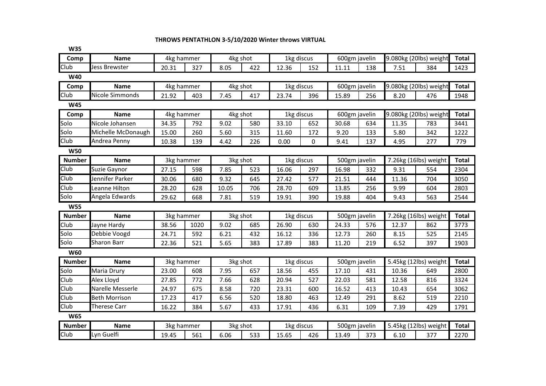## **THROWS PENTATHLON 3-5/10/2020 Winter throws VIRTUAL**

| <b>W35</b>    |                      |            |      |          |     |            |          |               |     |       |                        |              |
|---------------|----------------------|------------|------|----------|-----|------------|----------|---------------|-----|-------|------------------------|--------------|
| Comp          | <b>Name</b>          | 4kg hammer |      | 4kg shot |     | 1kg discus |          | 600gm javelin |     |       | 9.080kg (20lbs) weight | Total        |
| Club          | <b>Jess Brewster</b> | 20.31      | 327  | 8.05     | 422 | 12.36      | 152      | 11.11         | 138 | 7.51  | 384                    | 1423         |
| <b>W40</b>    |                      |            |      |          |     |            |          |               |     |       |                        |              |
| Comp          | <b>Name</b>          | 4kg hammer |      | 4kg shot |     | 1kg discus |          | 600gm javelin |     |       | 9.080kg (20lbs) weight | <b>Total</b> |
| Club          | Nicole Simmonds      | 21.92      | 403  | 7.45     | 417 | 23.74      | 396      | 15.89         | 256 | 8.20  | 476                    | 1948         |
| <b>W45</b>    |                      |            |      |          |     |            |          |               |     |       |                        |              |
| Comp          | <b>Name</b>          | 4kg hammer |      | 4kg shot |     | 1kg discus |          | 600gm javelin |     |       | 9.080kg (20lbs) weight | <b>Total</b> |
| Solo          | Nicole Johansen      | 34.35      | 792  | 9.02     | 580 | 33.10      | 652      | 30.68         | 634 | 11.35 | 783                    | 3441         |
| Solo          | Michelle McDonaugh   | 15.00      | 260  | 5.60     | 315 | 11.60      | 172      | 9.20          | 133 | 5.80  | 342                    | 1222         |
| Club          | Andrea Penny         | 10.38      | 139  | 4.42     | 226 | 0.00       | $\Omega$ | 9.41          | 137 | 4.95  | 277                    | 779          |
| <b>W50</b>    |                      |            |      |          |     |            |          |               |     |       |                        |              |
| <b>Number</b> | <b>Name</b>          | 3kg hammer |      | 3kg shot |     | 1kg discus |          | 500gm javelin |     |       | 7.26kg (16lbs) weight  | <b>Total</b> |
| Club          | Suzie Gaynor         | 27.15      | 598  | 7.85     | 523 | 16.06      | 297      | 16.98         | 332 | 9.31  | 554                    | 2304         |
| Club          | Jennifer Parker      | 30.06      | 680  | 9.32     | 645 | 27.42      | 577      | 21.51         | 444 | 11.36 | 704                    | 3050         |
| Club          | Leanne Hilton        | 28.20      | 628  | 10.05    | 706 | 28.70      | 609      | 13.85         | 256 | 9.99  | 604                    | 2803         |
| Solo          | Angela Edwards       | 29.62      | 668  | 7.81     | 519 | 19.91      | 390      | 19.88         | 404 | 9.43  | 563                    | 2544         |
| <b>W55</b>    |                      |            |      |          |     |            |          |               |     |       |                        |              |
| <b>Number</b> | <b>Name</b>          | 3kg hammer |      | 3kg shot |     | 1kg discus |          | 500gm javelin |     |       | 7.26kg (16lbs) weight  | <b>Total</b> |
| Club          | Jayne Hardy          | 38.56      | 1020 | 9.02     | 685 | 26.90      | 630      | 24.33         | 576 | 12.37 | 862                    | 3773         |
| Solo          | Debbie Voogd         | 24.71      | 592  | 6.21     | 432 | 16.12      | 336      | 12.73         | 260 | 8.15  | 525                    | 2145         |
| Solo          | <b>Sharon Barr</b>   | 22.36      | 521  | 5.65     | 383 | 17.89      | 383      | 11.20         | 219 | 6.52  | 397                    | 1903         |
| <b>W60</b>    |                      |            |      |          |     |            |          |               |     |       |                        |              |
| <b>Number</b> | <b>Name</b>          | 3kg hammer |      | 3kg shot |     | 1kg discus |          | 500gm javelin |     |       | 5.45kg (12lbs) weight  | <b>Total</b> |
| Solo          | Maria Drury          | 23.00      | 608  | 7.95     | 657 | 18.56      | 455      | 17.10         | 431 | 10.36 | 649                    | 2800         |
| Club          | Alex Lloyd           | 27.85      | 772  | 7.66     | 628 | 20.94      | 527      | 22.03         | 581 | 12.58 | 816                    | 3324         |
| Club          | Narelle Messerle     | 24.97      | 675  | 8.58     | 720 | 23.31      | 600      | 16.52         | 413 | 10.43 | 654                    | 3062         |
| Club          | <b>Beth Morrison</b> | 17.23      | 417  | 6.56     | 520 | 18.80      | 463      | 12.49         | 291 | 8.62  | 519                    | 2210         |
| Club          | <b>Therese Carr</b>  | 16.22      | 384  | 5.67     | 433 | 17.91      | 436      | 6.31          | 109 | 7.39  | 429                    | 1791         |
| <b>W65</b>    |                      |            |      |          |     |            |          |               |     |       |                        |              |
| <b>Number</b> | <b>Name</b>          | 3kg hammer |      | 3kg shot |     | 1kg discus |          | 500gm javelin |     |       | 5.45kg (12lbs) weight  | <b>Total</b> |
| Club          | Lyn Guelfi           | 19.45      | 561  | 6.06     | 533 | 15.65      | 426      | 13.49         | 373 | 6.10  | 377                    | 2270         |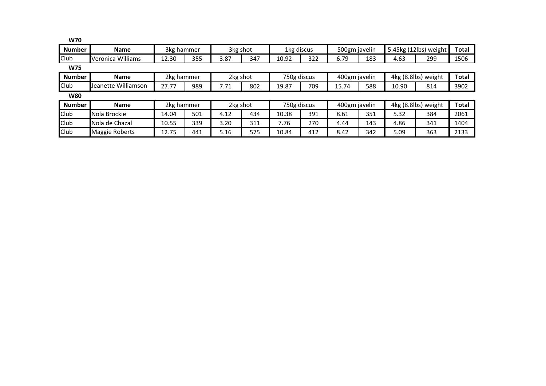| <b>W70</b>    |                     |            |     |          |     |             |     |               |     |                     |                       |              |
|---------------|---------------------|------------|-----|----------|-----|-------------|-----|---------------|-----|---------------------|-----------------------|--------------|
| <b>Number</b> | <b>Name</b>         | 3kg hammer |     | 3kg shot |     | 1kg discus  |     | 500gm javelin |     |                     | 5.45kg (12lbs) weight | <b>Total</b> |
| Club          | Veronica Williams   | 12.30      | 355 | 3.87     | 347 | 10.92       | 322 | 6.79          | 183 | 4.63                | 299                   | 1506         |
| <b>W75</b>    |                     |            |     |          |     |             |     |               |     |                     |                       |              |
| <b>Number</b> | <b>Name</b>         | 2kg hammer |     | 2kg shot |     | 750g discus |     | 400gm javelin |     | 4kg (8.8lbs) weight | <b>Total</b>          |              |
| Club          | Jeanette Williamson | 27.77      | 989 | 7.71     | 802 | 19.87       | 709 | 15.74         | 588 | 10.90               | 814                   | 3902         |
| <b>W80</b>    |                     |            |     |          |     |             |     |               |     |                     |                       |              |
| <b>Number</b> | <b>Name</b>         | 2kg hammer |     | 2kg shot |     | 750g discus |     | 400gm javelin |     |                     | 4kg (8.8lbs) weight   | <b>Total</b> |
| Club          | Nola Brockie        | 14.04      | 501 | 4.12     | 434 | 10.38       | 391 | 8.61          | 351 | 5.32                | 384                   | 2061         |
| Club          | Nola de Chazal      | 10.55      | 339 | 3.20     | 311 | 7.76        | 270 | 4.44          | 143 | 4.86                | 341                   | 1404         |
| Club          | Maggie Roberts      | 12.75      | 441 | 5.16     | 575 | 10.84       | 412 | 8.42          | 342 | 5.09                | 363                   | 2133         |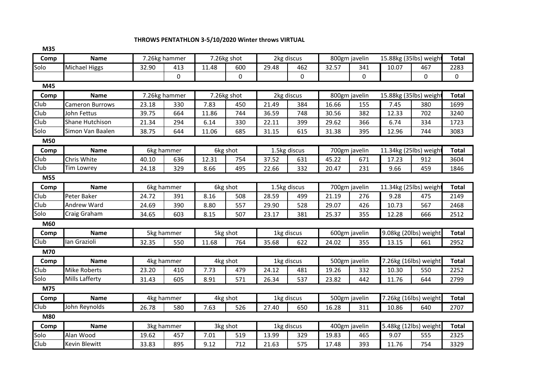## **THROWS PENTATHLON 3-5/10/2020 Winter throws VIRTUAL**

| IVI35      |                      |       |               |       |             |       |              |       |               |       |                        |              |  |
|------------|----------------------|-------|---------------|-------|-------------|-------|--------------|-------|---------------|-------|------------------------|--------------|--|
| Comp       | <b>Name</b>          |       | 7.26kg hammer |       | 7.26kg shot |       | 2kg discus   |       | 800gm javelin |       | 15.88kg (35lbs) weight | <b>Total</b> |  |
| Solo       | <b>Michael Higgs</b> | 32.90 | 413           | 11.48 | 600         | 29.48 | 462          | 32.57 | 341           | 10.07 | 467                    | 2283         |  |
|            |                      |       | $\Omega$      |       | 0           |       | 0            |       | 0             |       | 0                      | $\Omega$     |  |
| M45        |                      |       |               |       |             |       |              |       |               |       |                        |              |  |
| Comp       | <b>Name</b>          |       | 7.26kg hammer |       | 7.26kg shot |       | 2kg discus   |       | 800gm javelin |       | 15.88kg (35lbs) weight | <b>Total</b> |  |
| Club       | Cameron Burrows      | 23.18 | 330           | 7.83  | 450         | 21.49 | 384          | 16.66 | 155           | 7.45  | 380                    | 1699         |  |
| Club       | John Fettus          | 39.75 | 664           | 11.86 | 744         | 36.59 | 748          | 30.56 | 382           | 12.33 | 702                    | 3240         |  |
| Club       | Shane Hutchison      | 21.34 | 294           | 6.14  | 330         | 22.11 | 399          | 29.62 | 366           | 6.74  | 334                    | 1723         |  |
| Solo       | Simon Van Baalen     | 38.75 | 644           | 11.06 | 685         | 31.15 | 615          | 31.38 | 395           | 12.96 | 744                    | 3083         |  |
| M50        |                      |       |               |       |             |       |              |       |               |       |                        |              |  |
| Comp       | <b>Name</b>          |       | 6kg hammer    |       | 6kg shot    |       | 1.5kg discus |       | 700gm javelin |       | 11.34kg (25lbs) weigh  | <b>Total</b> |  |
| Club       | Chris White          | 40.10 | 636           | 12.31 | 754         | 37.52 | 631          | 45.22 | 671           | 17.23 | 912                    | 3604         |  |
| Club       | <b>Tim Lowrey</b>    | 24.18 | 329           | 8.66  | 495         | 22.66 | 332          | 20.47 | 231           | 9.66  | 459                    | 1846         |  |
| M55        |                      |       |               |       |             |       |              |       |               |       |                        |              |  |
| Comp       | <b>Name</b>          |       | 6kg hammer    |       | 6kg shot    |       | 1.5kg discus |       | 700gm javelin |       | 11.34kg (25lbs) weight |              |  |
| Club       | Peter Baker          | 24.72 | 391           | 8.16  | 508         | 28.59 | 499          | 21.19 | 276           | 9.28  | 475                    | 2149         |  |
| Club       | <b>Andrew Ward</b>   | 24.69 | 390           | 8.80  | 557         | 29.90 | 528          | 29.07 | 426           | 10.73 | 567                    | 2468         |  |
| Solo       | Craig Graham         | 34.65 | 603           | 8.15  | 507         | 23.17 | 381          | 25.37 | 355           | 12.28 | 666                    | 2512         |  |
| M60        |                      |       |               |       |             |       |              |       |               |       |                        |              |  |
| Comp       | <b>Name</b>          |       | 5kg hammer    |       | 5kg shot    |       | 1kg discus   |       | 600gm javelin |       | 9.08kg (20lbs) weight  | <b>Total</b> |  |
| Club       | lan Grazioli         | 32.35 | 550           | 11.68 | 764         | 35.68 | 622          | 24.02 | 355           | 13.15 | 661                    | 2952         |  |
| M70        |                      |       |               |       |             |       |              |       |               |       |                        |              |  |
| Comp       | Name                 |       | 4kg hammer    |       | 4kg shot    |       | 1kg discus   |       | 500gm javelin |       | 7.26kg (16lbs) weight  | <b>Total</b> |  |
| Club       | <b>Mike Roberts</b>  | 23.20 | 410           | 7.73  | 479         | 24.12 | 481          | 19.26 | 332           | 10.30 | 550                    | 2252         |  |
| Solo       | Mills Lafferty       | 31.43 | 605           | 8.91  | 571         | 26.34 | 537          | 23.82 | 442           | 11.76 | 644                    | 2799         |  |
| M75        |                      |       |               |       |             |       |              |       |               |       |                        |              |  |
| Comp       | <b>Name</b>          |       | 4kg hammer    |       | 4kg shot    |       | 1kg discus   |       | 500gm javelin |       | 7.26kg (16lbs) weight  | <b>Total</b> |  |
| Club       | John Reynolds        | 26.78 | 580           | 7.63  | 526         | 27.40 | 650          | 16.28 | 311           | 10.86 | 640                    | 2707         |  |
| <b>M80</b> |                      |       |               |       |             |       |              |       |               |       |                        |              |  |
| Comp       | <b>Name</b>          |       | 3kg hammer    |       | 3kg shot    |       | 1kg discus   |       | 400gm javelin |       | 5.48kg (12lbs) weight  | <b>Total</b> |  |
| Solo       | Alan Wood            | 19.62 | 457           | 7.01  | 519         | 13.99 | 329          | 19.83 | 465           | 9.07  | 555                    | 2325         |  |
| Club       | Kevin Blewitt        | 33.83 | 895           | 9.12  | 712         | 21.63 | 575          | 17.48 | 393           | 11.76 | 754                    | 3329         |  |
|            |                      |       |               |       |             |       |              |       |               |       |                        |              |  |

**M35**